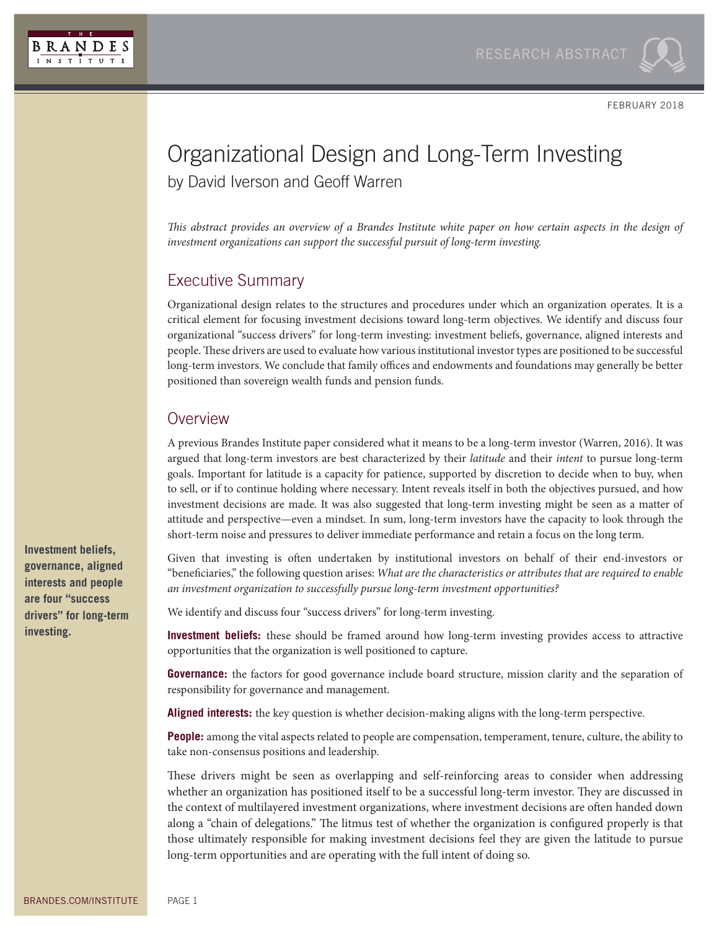

FEBRUARY 2018

## Organizational Design and Long-Term Investing by David Iverson and Geoff Warren

*This abstract provides an overview of a Brandes Institute white paper on how certain aspects in the design of investment organizations can support the successful pursuit of long-term investing.*

## Executive Summary

Organizational design relates to the structures and procedures under which an organization operates. It is a critical element for focusing investment decisions toward long-term objectives. We identify and discuss four organizational "success drivers" for long-term investing: investment beliefs, governance, aligned interests and people. These drivers are used to evaluate how various institutional investor types are positioned to be successful long-term investors. We conclude that family offices and endowments and foundations may generally be better positioned than sovereign wealth funds and pension funds.

## **Overview**

A previous Brandes Institute paper considered what it means to be a long-term investor (Warren, 2016). It was argued that long-term investors are best characterized by their *latitude* and their *intent* to pursue long-term goals. Important for latitude is a capacity for patience, supported by discretion to decide when to buy, when to sell, or if to continue holding where necessary. Intent reveals itself in both the objectives pursued, and how investment decisions are made. It was also suggested that long-term investing might be seen as a matter of attitude and perspective—even a mindset. In sum, long-term investors have the capacity to look through the short-term noise and pressures to deliver immediate performance and retain a focus on the long term.

Given that investing is often undertaken by institutional investors on behalf of their end-investors or "beneficiaries," the following question arises: *What are the characteristics or attributes that are required to enable an investment organization to successfully pursue long-term investment opportunities?*

We identify and discuss four "success drivers" for long-term investing.

**Investment beliefs:** these should be framed around how long-term investing provides access to attractive opportunities that the organization is well positioned to capture.

**Governance:** the factors for good governance include board structure, mission clarity and the separation of responsibility for governance and management.

**Aligned interests:** the key question is whether decision-making aligns with the long-term perspective.

**People:** among the vital aspects related to people are compensation, temperament, tenure, culture, the ability to take non-consensus positions and leadership.

These drivers might be seen as overlapping and self-reinforcing areas to consider when addressing whether an organization has positioned itself to be a successful long-term investor. They are discussed in the context of multilayered investment organizations, where investment decisions are often handed down along a "chain of delegations." The litmus test of whether the organization is configured properly is that those ultimately responsible for making investment decisions feel they are given the latitude to pursue long-term opportunities and are operating with the full intent of doing so.

**Investment beliefs, governance, aligned interests and people are four "success drivers" for long-term investing.**